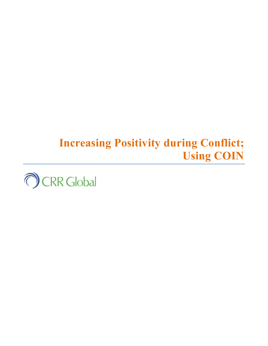# **Increasing Positivity during Conflict; Using COIN**

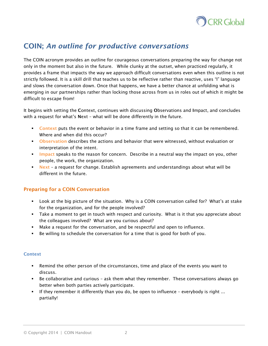

# **COIN;** *An outline for productive conversations*

*The COIN acronym provides an outline for courageous conversations preparing the way for change not only in the moment but also in the future. While clunky at the outset, when practiced regularly, it provides a frame that impacts the way we approach difficult conversations even when this outline is not strictly followed. It is a skill drill that teaches us to be reflective rather than reactive, uses "I" language and slows the conversation down. Once that happens, we have a better chance at unfolding what is emerging in our partnerships rather than locking those across from us in roles out of which it might be difficult to escape from!* 

*It begins with setting the* **C***ontext, continues with discussing* **O***bservations and* **I***mpact, and concludes with a request for what's* **N***ext – what will be done differently in the future.* 

- **Context** *puts the event or behavior in a time frame and setting so that it can be remembered. Where and when did this occur?*
- **Observation** *describes the actions and behavior that were witnessed, without evaluation or interpretation of the intent.*
- **Impact** *speaks to the reason for concern. Describe in a neutral way the impact on you, other people, the work, the organization.*
- **Next** *a request for change. Establish agreements and understandings about what will be different in the future.*

# **Preparing for a COIN Conversation**

- *Look at the big picture of the situation. Why is a COIN conversation called for? What's at stake for the organization, and for the people involved?*
- *Take a moment to get in touch with respect and curiosity. What is it that you appreciate about the colleagues involved? What are you curious about?*
- *Make a request for the conversation, and be respectful and open to influence.*
- *Be willing to schedule the conversation for a time that is good for both of you.*

#### **Context**

- *Remind the other person of the circumstances, time and place of the events you want to discuss.*
- *Be collaborative and curious ask them what they remember. These conversations always go better when both parties actively participate.*
- *If they remember it differently than you do, be open to influence everybody is right ... partially!*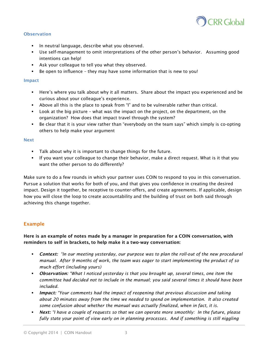

#### **Observation**

- *In neutral language, describe what you observed.*
- *Use self-management to omit interpretations of the other person's behavior. Assuming good intentions can help!*
- *Ask your colleague to tell you what they observed.*
- **Be open to influence they may have some information that is new to you!**

#### **Impact**

- *Here's where you talk about why it all matters. Share about the impact you experienced and be curious about your colleague's experience.*
- *Above all this is the place to speak from "I" and to be vulnerable rather than critical.*
- *Look at the big picture what was the impact on the project, on the department, on the organization? How does that impact travel through the system?*
- **Be clear that it is your view rather than "everybody on the team says" which simply is co-opting <b>Fig.** *others to help make your argument*

#### **Next**

- *Talk about why it is important to change things for the future.*
- *If you want your colleague to change their behavior, make a direct request. What is it that you want the other person to do differently?*

*Make sure to do a few rounds in which your partner uses COIN to respond to you in this conversation. Pursue a solution that works for both of you, and that gives you confidence in creating the desired impact. Design it together, be receptive to counter-offers, and create agreements. If applicable, design how you will close the loop to create accountability and the building of trust on both said through achieving this change together.* 

# **Example**

# **Here is an example of notes made by a manager in preparation for a COIN conversation, with reminders to self in brackets, to help make it a two-way conversation:**

- *Context: "In our meeting yesterday, our purpose was to plan the roll-out of the new procedural manual. After 9 months of work, the team was eager to start implementing the product of so much effort (including yours)*
- *Observation: "What I noticed yesterday is that you brought up, several times, one item the committee had decided not to include in the manual; you said several times it should have been included.*
- *Impact: "Your comments had the impact of reopening that previous discussion and taking about 20 minutes away from the time we needed to spend on implementation. It also created some confusion about whether the manual was actually finalized, when in fact, it is.*
- *Next: "I have a couple of requests so that we can operate more smoothly: In the future, please fully state your point of view early on in planning processes. And if something is still niggling*